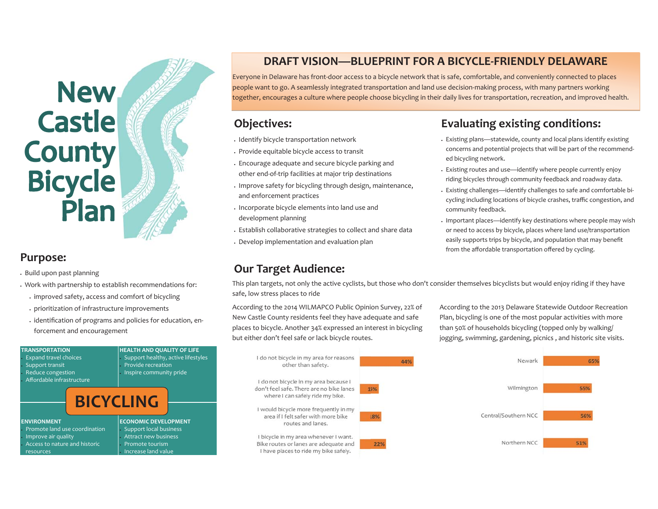## New<br>Castle **County** Bicycle<br>Plan

#### **Purpose:**

- x Build upon past planning
- x Work with partnership to establish recommendations for:
	- x improved safety, access and comfort of bicycling
	- x prioritization of infrastructure improvements
	- $\cdot$  identification of programs and policies for education, enforcement and encouragement

| <b>TRANSPORTATION</b><br><b>Expand travel choices</b><br>• Support transit<br>- Reduce congestion<br>Affordable infrastructure | <b>HEALTH AND QUALITY OF LIFE</b><br>Support healthy, active lifestyles<br>Provide recreation<br>Inspire community pride  |
|--------------------------------------------------------------------------------------------------------------------------------|---------------------------------------------------------------------------------------------------------------------------|
|                                                                                                                                | <b>BICYCLING</b>                                                                                                          |
| <b>ENVIRONMENT</b><br>Promote land use coordination<br>Improve air quality<br>Access to nature and historic<br>resources       | <b>ECONOMIC DEVELOPMENT</b><br>• Support local business<br>Attract new business<br>Promote tourism<br>Increase land value |

### **DRAFT VISION—BLUEPRINT FOR A BICYCLE-FRIENDLY DELAWARE**

Everyone in Delaware has front-door access to a bicycle network that is safe, comfortable, and conveniently connected to places people want to go. A seamlessly integrated transportation and land use decision-making process, with many partners working together, encourages a culture where people choose bicycling in their daily lives for transportation, recreation, and improved health.

### **Objectives:**

- . Identify bicycle transportation network
- x Provide equitable bicycle access to transit
- $\,\cdot\,$  Encourage adequate and secure bicycle parking and other end-of-trip facilities at major trip destinations
- x Improve safety for bicycling through design, maintenance, and enforcement practices
- $\,\cdot\,$  Incorporate bicycle elements into land use and development planning
- $\,\cdot\,$  Establish collaborative strategies to collect and share data
- $\,\cdot\,$  Develop implementation and evaluation plan

### **Our Target Audience:**

### **Evaluating existing conditions:**

- $\,\cdot\,$  Existing plans—statewide, county and local plans identify existing concerns and potential projects that will be part of the recommended bicycling network.
- x Existing routes and use—identify where people currently enjoy riding bicycles through community feedback and roadway data.
- x Existing challenges—identify challenges to safe and comfortable bicycling including locations of bicycle crashes, traffic congestion, and community feedback.
- x Important places—identify key destinations where people may wish or need to access by bicycle, places where land use/transportation easily supports trips by bicycle, and population that may benefit from the affordable transportation offered by cycling.

This plan targets, not only the active cyclists, but those who don't consider themselves bicyclists but would enjoy riding if they have safe, low stress places to ride

According to the 2014 WILMAPCO Public Opinion Survey, 22% of New Castle County residents feel they have adequate and safe places to bicycle. Another 34% expressed an interest in bicycling but either don't feel safe or lack bicycle routes.

According to the 2013 Delaware Statewide Outdoor Recreation Plan, bicycling is one of the most popular activities with more than 50% of households bicycling (topped only by walking/ jogging, swimming, gardening, picnics , and historic site visits.

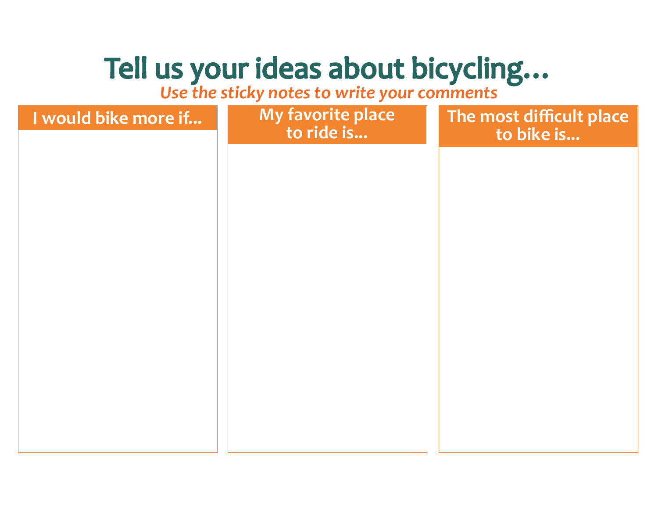### *Use the sticky notes to write your comments*

| I would bike more if | My favorite place<br>to ride is | The most difficult place<br>to bike is |
|----------------------|---------------------------------|----------------------------------------|
|                      |                                 |                                        |
|                      |                                 |                                        |
|                      |                                 |                                        |
|                      |                                 |                                        |
|                      |                                 |                                        |
|                      |                                 |                                        |
|                      |                                 |                                        |
|                      |                                 |                                        |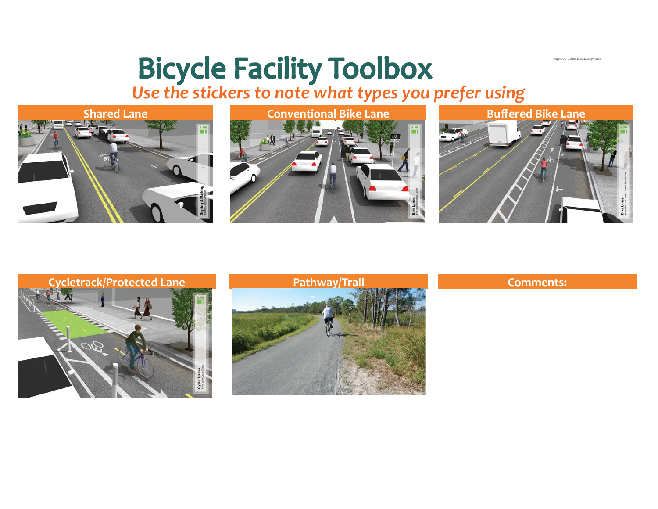### *Use the stickers to note what types you prefer using*







Images: NACTO Urban Bikeway Design Guide